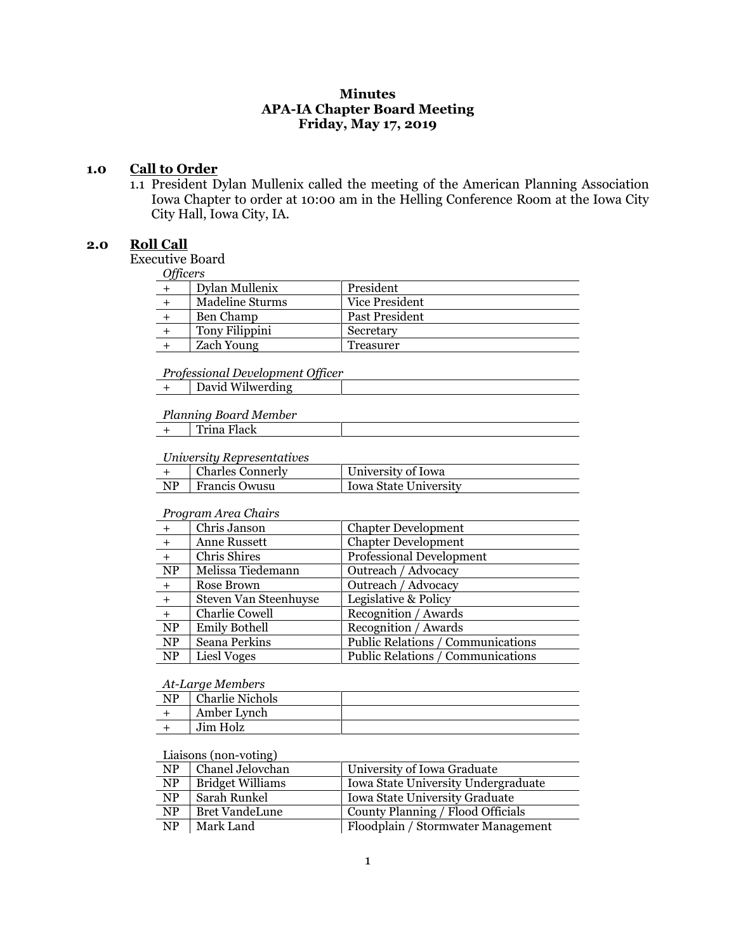## **Minutes APA-IA Chapter Board Meeting Friday, May 17, 2019**

#### **1.0 Call to Order**

1.1 President Dylan Mullenix called the meeting of the American Planning Association Iowa Chapter to order at 10:00 am in the Helling Conference Room at the Iowa City City Hall, Iowa City, IA.

#### **2.0 Roll Call**

Executive Board

*Officers*

| $U$ uccis |                   |                |  |
|-----------|-------------------|----------------|--|
|           | Dylan Mullenix    | President      |  |
|           | Madeline Sturms   | Vice President |  |
|           | Ben Champ         | Past President |  |
|           | Tony Filippini    | Secretary      |  |
|           | <b>Zach Young</b> | Treasurer      |  |
|           |                   |                |  |

# *Professional Development Officer*

|  | David Wilwerding |
|--|------------------|
|--|------------------|

## *Planning Board Member*

| Trina Flack |
|-------------|
|-------------|

## *University Representatives*

|     | <b>Charles Connerly</b> | University of Iowa      |
|-----|-------------------------|-------------------------|
| NP. | Francis Owusu           | l Iowa State University |
|     |                         |                         |

#### *Program Area Chairs*

| $+$       | Chris Janson          | <b>Chapter Development</b>        |
|-----------|-----------------------|-----------------------------------|
| $+$       | <b>Anne Russett</b>   | <b>Chapter Development</b>        |
| $+$       | Chris Shires          | <b>Professional Development</b>   |
| NP        | Melissa Tiedemann     | Outreach / Advocacy               |
| $+$       | Rose Brown            | Outreach / Advocacy               |
| $+$       | Steven Van Steenhuyse | Legislative & Policy              |
| $+$       | Charlie Cowell        | Recognition / Awards              |
| NP        | <b>Emily Bothell</b>  | Recognition / Awards              |
| NP        | Seana Perkins         | Public Relations / Communications |
| <b>NP</b> | Liesl Voges           | Public Relations / Communications |

#### *At-Large Members*

| NP | <b>Charlie Nichols</b> |  |
|----|------------------------|--|
|    | Amber Lynch            |  |
|    | Jim Holz               |  |

## Liaisons (non-voting)

| <b>NP</b> | Chanel Jelovchan        | University of Iowa Graduate         |
|-----------|-------------------------|-------------------------------------|
| <b>NP</b> | <b>Bridget Williams</b> | Iowa State University Undergraduate |
| <b>NP</b> | Sarah Runkel            | Iowa State University Graduate      |
| <b>NP</b> | <b>Bret VandeLune</b>   | County Planning / Flood Officials   |
| <b>NP</b> | Mark Land               | Floodplain / Stormwater Management  |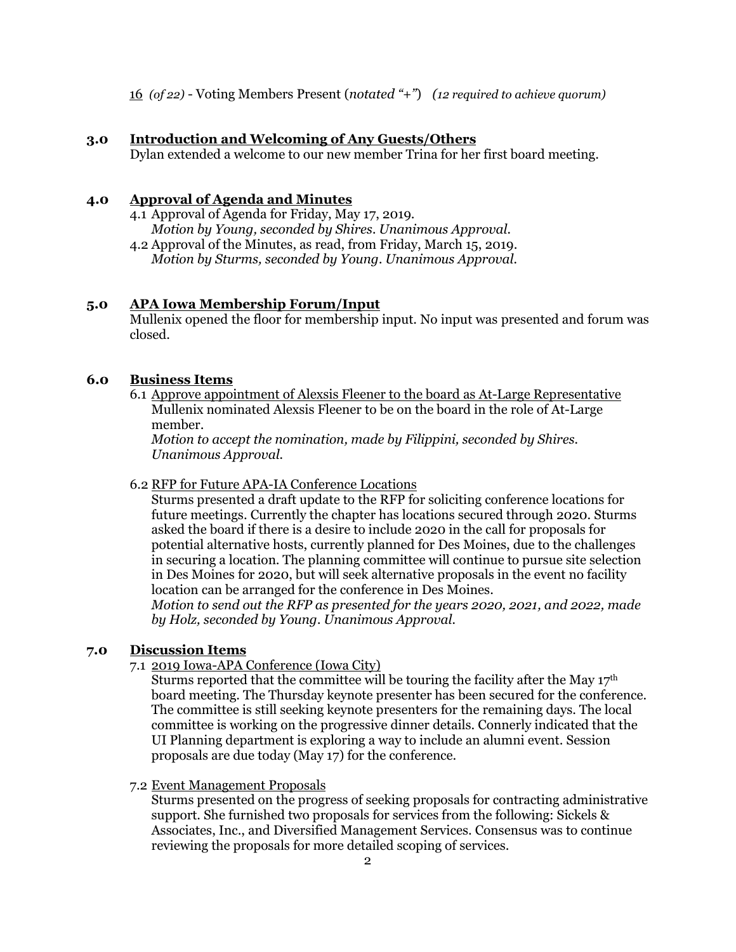16 *(of 22)* - Voting Members Present (*notated "+"*) *(12 required to achieve quorum)*

## **3.0 Introduction and Welcoming of Any Guests/Others**

Dylan extended a welcome to our new member Trina for her first board meeting.

## **4.0 Approval of Agenda and Minutes**

- 4.1 Approval of Agenda for Friday, May 17, 2019. *Motion by Young, seconded by Shires. Unanimous Approval.*
- 4.2 Approval of the Minutes, as read, from Friday, March 15, 2019. *Motion by Sturms, seconded by Young. Unanimous Approval.*

## **5.0 APA Iowa Membership Forum/Input**

Mullenix opened the floor for membership input. No input was presented and forum was closed.

#### **6.0 Business Items**

6.1 Approve appointment of Alexsis Fleener to the board as At-Large Representative Mullenix nominated Alexsis Fleener to be on the board in the role of At-Large member.

*Motion to accept the nomination, made by Filippini, seconded by Shires. Unanimous Approval.*

## 6.2 RFP for Future APA-IA Conference Locations

Sturms presented a draft update to the RFP for soliciting conference locations for future meetings. Currently the chapter has locations secured through 2020. Sturms asked the board if there is a desire to include 2020 in the call for proposals for potential alternative hosts, currently planned for Des Moines, due to the challenges in securing a location. The planning committee will continue to pursue site selection in Des Moines for 2020, but will seek alternative proposals in the event no facility location can be arranged for the conference in Des Moines.

*Motion to send out the RFP as presented for the years 2020, 2021, and 2022, made by Holz, seconded by Young. Unanimous Approval.*

## **7.0 Discussion Items**

7.1 2019 Iowa-APA Conference (Iowa City)

Sturms reported that the committee will be touring the facility after the May  $17<sup>th</sup>$ board meeting. The Thursday keynote presenter has been secured for the conference. The committee is still seeking keynote presenters for the remaining days. The local committee is working on the progressive dinner details. Connerly indicated that the UI Planning department is exploring a way to include an alumni event. Session proposals are due today (May 17) for the conference.

#### 7.2 Event Management Proposals

Sturms presented on the progress of seeking proposals for contracting administrative support. She furnished two proposals for services from the following: Sickels & Associates, Inc., and Diversified Management Services. Consensus was to continue reviewing the proposals for more detailed scoping of services.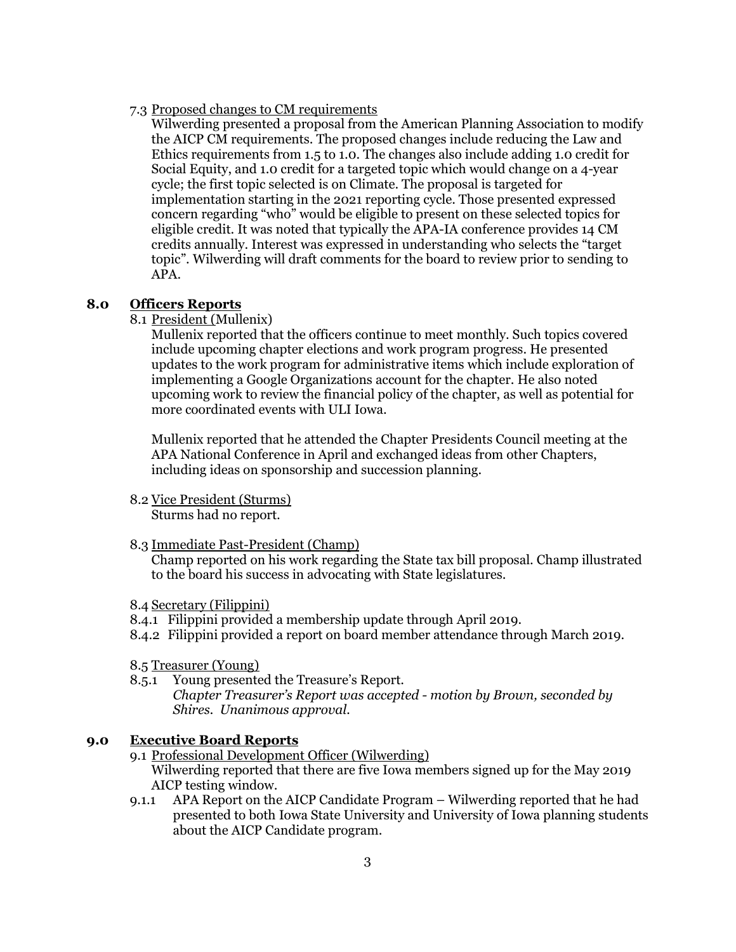7.3 Proposed changes to CM requirements

Wilwerding presented a proposal from the American Planning Association to modify the AICP CM requirements. The proposed changes include reducing the Law and Ethics requirements from 1.5 to 1.0. The changes also include adding 1.0 credit for Social Equity, and 1.0 credit for a targeted topic which would change on a 4-year cycle; the first topic selected is on Climate. The proposal is targeted for implementation starting in the 2021 reporting cycle. Those presented expressed concern regarding "who" would be eligible to present on these selected topics for eligible credit. It was noted that typically the APA-IA conference provides 14 CM credits annually. Interest was expressed in understanding who selects the "target topic". Wilwerding will draft comments for the board to review prior to sending to APA.

### **8.0 Officers Reports**

8.1 President (Mullenix)

Mullenix reported that the officers continue to meet monthly. Such topics covered include upcoming chapter elections and work program progress. He presented updates to the work program for administrative items which include exploration of implementing a Google Organizations account for the chapter. He also noted upcoming work to review the financial policy of the chapter, as well as potential for more coordinated events with ULI Iowa.

Mullenix reported that he attended the Chapter Presidents Council meeting at the APA National Conference in April and exchanged ideas from other Chapters, including ideas on sponsorship and succession planning.

8.2 Vice President (Sturms)

Sturms had no report.

8.3 Immediate Past-President (Champ)

Champ reported on his work regarding the State tax bill proposal. Champ illustrated to the board his success in advocating with State legislatures.

- 8.4 Secretary (Filippini)
- 8.4.1 Filippini provided a membership update through April 2019.
- 8.4.2 Filippini provided a report on board member attendance through March 2019.
- 8.5 Treasurer (Young)
- 8.5.1 Young presented the Treasure's Report.

*Chapter Treasurer's Report was accepted - motion by Brown, seconded by Shires. Unanimous approval.*

## **9.0 Executive Board Reports**

- 9.1 Professional Development Officer (Wilwerding) Wilwerding reported that there are five Iowa members signed up for the May 2019 AICP testing window.
- 9.1.1 APA Report on the AICP Candidate Program Wilwerding reported that he had presented to both Iowa State University and University of Iowa planning students about the AICP Candidate program.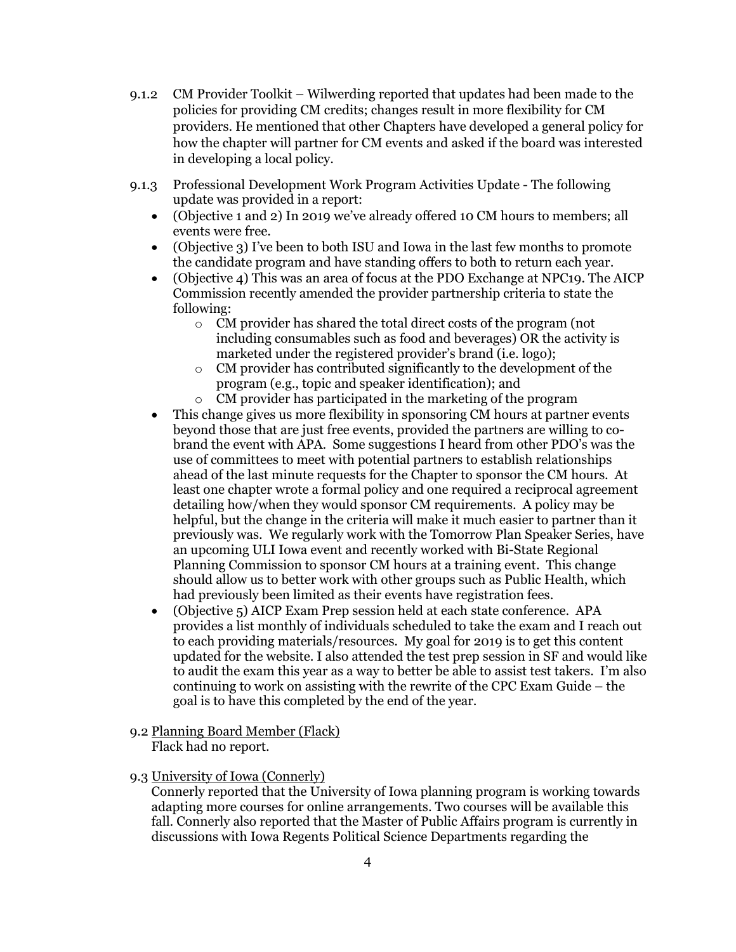- 9.1.2 CM Provider Toolkit Wilwerding reported that updates had been made to the policies for providing CM credits; changes result in more flexibility for CM providers. He mentioned that other Chapters have developed a general policy for how the chapter will partner for CM events and asked if the board was interested in developing a local policy.
- 9.1.3 Professional Development Work Program Activities Update The following update was provided in a report:
	- (Objective 1 and 2) In 2019 we've already offered 10 CM hours to members; all events were free.
	- (Objective 3) I've been to both ISU and Iowa in the last few months to promote the candidate program and have standing offers to both to return each year.
	- (Objective 4) This was an area of focus at the PDO Exchange at NPC19. The AICP Commission recently amended the provider partnership criteria to state the following:
		- o CM provider has shared the total direct costs of the program (not including consumables such as food and beverages) OR the activity is marketed under the registered provider's brand (i.e. logo);
		- o CM provider has contributed significantly to the development of the program (e.g., topic and speaker identification); and
		- o CM provider has participated in the marketing of the program
	- This change gives us more flexibility in sponsoring CM hours at partner events beyond those that are just free events, provided the partners are willing to cobrand the event with APA. Some suggestions I heard from other PDO's was the use of committees to meet with potential partners to establish relationships ahead of the last minute requests for the Chapter to sponsor the CM hours. At least one chapter wrote a formal policy and one required a reciprocal agreement detailing how/when they would sponsor CM requirements. A policy may be helpful, but the change in the criteria will make it much easier to partner than it previously was. We regularly work with the Tomorrow Plan Speaker Series, have an upcoming ULI Iowa event and recently worked with Bi-State Regional Planning Commission to sponsor CM hours at a training event. This change should allow us to better work with other groups such as Public Health, which had previously been limited as their events have registration fees.
	- (Objective 5) AICP Exam Prep session held at each state conference. APA provides a list monthly of individuals scheduled to take the exam and I reach out to each providing materials/resources. My goal for 2019 is to get this content updated for the website. I also attended the test prep session in SF and would like to audit the exam this year as a way to better be able to assist test takers. I'm also continuing to work on assisting with the rewrite of the CPC Exam Guide – the goal is to have this completed by the end of the year.
- 9.2 Planning Board Member (Flack) Flack had no report.

## 9.3 University of Iowa (Connerly)

Connerly reported that the University of Iowa planning program is working towards adapting more courses for online arrangements. Two courses will be available this fall. Connerly also reported that the Master of Public Affairs program is currently in discussions with Iowa Regents Political Science Departments regarding the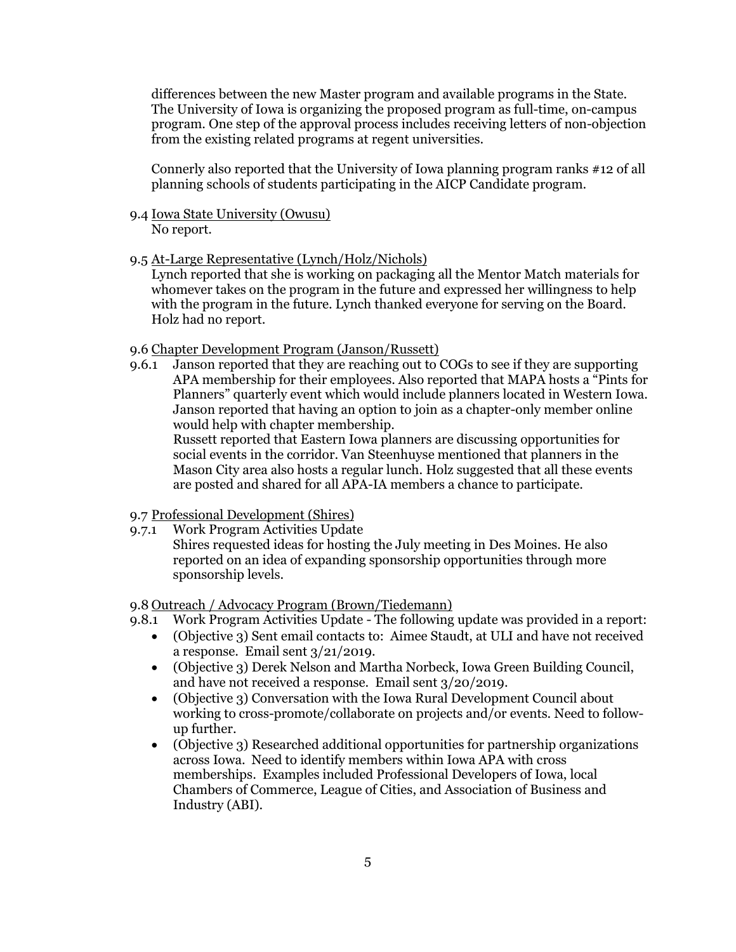differences between the new Master program and available programs in the State. The University of Iowa is organizing the proposed program as full-time, on-campus program. One step of the approval process includes receiving letters of non-objection from the existing related programs at regent universities.

Connerly also reported that the University of Iowa planning program ranks #12 of all planning schools of students participating in the AICP Candidate program.

- 9.4 Iowa State University (Owusu) No report.
- 9.5 At-Large Representative (Lynch/Holz/Nichols)

Lynch reported that she is working on packaging all the Mentor Match materials for whomever takes on the program in the future and expressed her willingness to help with the program in the future. Lynch thanked everyone for serving on the Board. Holz had no report.

### 9.6 Chapter Development Program (Janson/Russett)

9.6.1 Janson reported that they are reaching out to COGs to see if they are supporting APA membership for their employees. Also reported that MAPA hosts a "Pints for Planners" quarterly event which would include planners located in Western Iowa. Janson reported that having an option to join as a chapter-only member online would help with chapter membership. Russett reported that Eastern Iowa planners are discussing opportunities for

social events in the corridor. Van Steenhuyse mentioned that planners in the Mason City area also hosts a regular lunch. Holz suggested that all these events are posted and shared for all APA-IA members a chance to participate.

## 9.7 Professional Development (Shires)

9.7.1 Work Program Activities Update Shires requested ideas for hosting the July meeting in Des Moines. He also reported on an idea of expanding sponsorship opportunities through more sponsorship levels.

9.8 Outreach / Advocacy Program (Brown/Tiedemann)

- 9.8.1 Work Program Activities Update The following update was provided in a report:
	- (Objective 3) Sent email contacts to: Aimee Staudt, at ULI and have not received a response. Email sent 3/21/2019.
	- (Objective 3) Derek Nelson and Martha Norbeck, Iowa Green Building Council, and have not received a response. Email sent 3/20/2019.
	- (Objective 3) Conversation with the Iowa Rural Development Council about working to cross-promote/collaborate on projects and/or events. Need to followup further.
	- (Objective 3) Researched additional opportunities for partnership organizations across Iowa. Need to identify members within Iowa APA with cross memberships. Examples included Professional Developers of Iowa, local Chambers of Commerce, League of Cities, and Association of Business and Industry (ABI).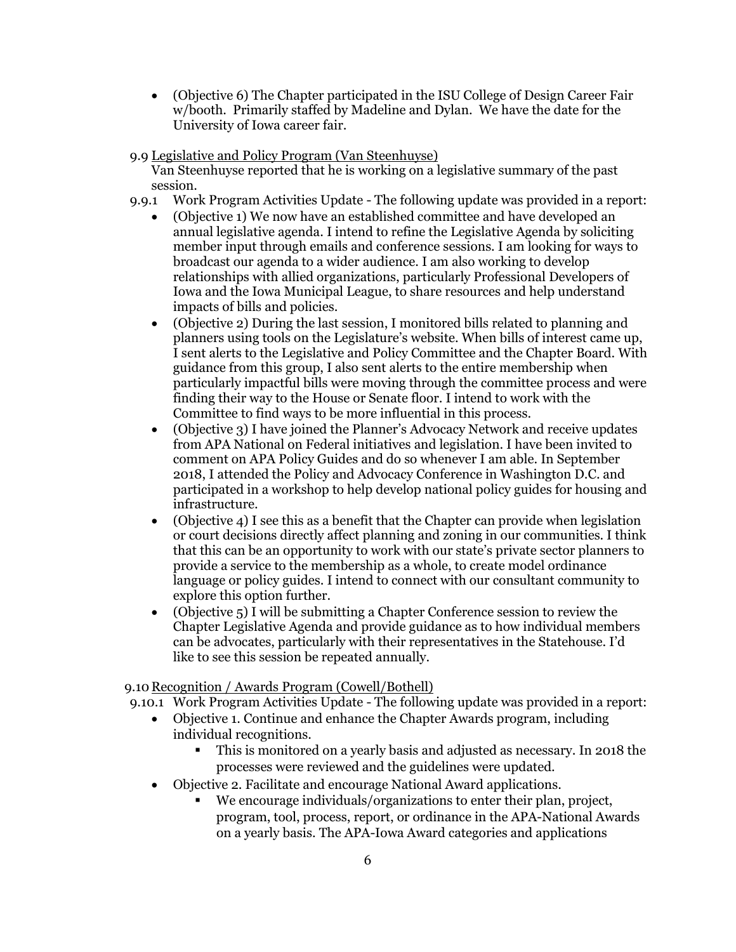• (Objective 6) The Chapter participated in the ISU College of Design Career Fair w/booth. Primarily staffed by Madeline and Dylan. We have the date for the University of Iowa career fair.

## 9.9 Legislative and Policy Program (Van Steenhuyse)

Van Steenhuyse reported that he is working on a legislative summary of the past session.

- 9.9.1 Work Program Activities Update The following update was provided in a report:
	- (Objective 1) We now have an established committee and have developed an annual legislative agenda. I intend to refine the Legislative Agenda by soliciting member input through emails and conference sessions. I am looking for ways to broadcast our agenda to a wider audience. I am also working to develop relationships with allied organizations, particularly Professional Developers of Iowa and the Iowa Municipal League, to share resources and help understand impacts of bills and policies.
	- (Objective 2) During the last session, I monitored bills related to planning and planners using tools on the Legislature's website. When bills of interest came up, I sent alerts to the Legislative and Policy Committee and the Chapter Board. With guidance from this group, I also sent alerts to the entire membership when particularly impactful bills were moving through the committee process and were finding their way to the House or Senate floor. I intend to work with the Committee to find ways to be more influential in this process.
	- (Objective 3) I have joined the Planner's Advocacy Network and receive updates from APA National on Federal initiatives and legislation. I have been invited to comment on APA Policy Guides and do so whenever I am able. In September 2018, I attended the Policy and Advocacy Conference in Washington D.C. and participated in a workshop to help develop national policy guides for housing and infrastructure.
	- (Objective 4) I see this as a benefit that the Chapter can provide when legislation or court decisions directly affect planning and zoning in our communities. I think that this can be an opportunity to work with our state's private sector planners to provide a service to the membership as a whole, to create model ordinance language or policy guides. I intend to connect with our consultant community to explore this option further.
	- (Objective 5) I will be submitting a Chapter Conference session to review the Chapter Legislative Agenda and provide guidance as to how individual members can be advocates, particularly with their representatives in the Statehouse. I'd like to see this session be repeated annually.

## 9.10 Recognition / Awards Program (Cowell/Bothell)

9.10.1 Work Program Activities Update - The following update was provided in a report:

- Objective 1. Continue and enhance the Chapter Awards program, including individual recognitions.
	- This is monitored on a yearly basis and adjusted as necessary. In 2018 the processes were reviewed and the guidelines were updated.
- Objective 2. Facilitate and encourage National Award applications.
	- We encourage individuals/organizations to enter their plan, project, program, tool, process, report, or ordinance in the APA-National Awards on a yearly basis. The APA-Iowa Award categories and applications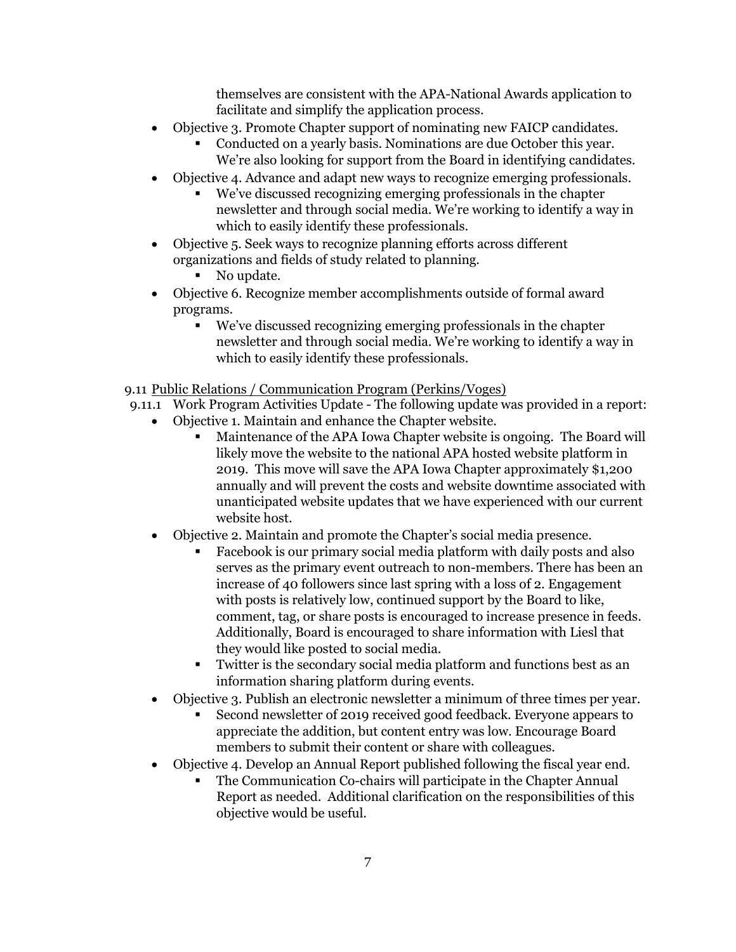themselves are consistent with the APA-National Awards application to facilitate and simplify the application process.

- Objective 3. Promote Chapter support of nominating new FAICP candidates.
	- Conducted on a yearly basis. Nominations are due October this year. We're also looking for support from the Board in identifying candidates.
- Objective 4. Advance and adapt new ways to recognize emerging professionals.
	- We've discussed recognizing emerging professionals in the chapter newsletter and through social media. We're working to identify a way in which to easily identify these professionals.
- Objective 5. Seek ways to recognize planning efforts across different organizations and fields of study related to planning.

No update.

- Objective 6. Recognize member accomplishments outside of formal award programs.
	- We've discussed recognizing emerging professionals in the chapter newsletter and through social media. We're working to identify a way in which to easily identify these professionals.

## 9.11 Public Relations / Communication Program (Perkins/Voges)

- 9.11.1 Work Program Activities Update The following update was provided in a report:
	- Objective 1. Maintain and enhance the Chapter website.
		- Maintenance of the APA Iowa Chapter website is ongoing. The Board will likely move the website to the national APA hosted website platform in 2019. This move will save the APA Iowa Chapter approximately \$1,200 annually and will prevent the costs and website downtime associated with unanticipated website updates that we have experienced with our current website host.
	- Objective 2. Maintain and promote the Chapter's social media presence.
		- Facebook is our primary social media platform with daily posts and also serves as the primary event outreach to non-members. There has been an increase of 40 followers since last spring with a loss of 2. Engagement with posts is relatively low, continued support by the Board to like, comment, tag, or share posts is encouraged to increase presence in feeds. Additionally, Board is encouraged to share information with Liesl that they would like posted to social media.
		- Twitter is the secondary social media platform and functions best as an information sharing platform during events.
	- Objective 3. Publish an electronic newsletter a minimum of three times per year.
		- Second newsletter of 2019 received good feedback. Everyone appears to appreciate the addition, but content entry was low. Encourage Board members to submit their content or share with colleagues.
	- Objective 4. Develop an Annual Report published following the fiscal year end.
		- The Communication Co-chairs will participate in the Chapter Annual Report as needed. Additional clarification on the responsibilities of this objective would be useful.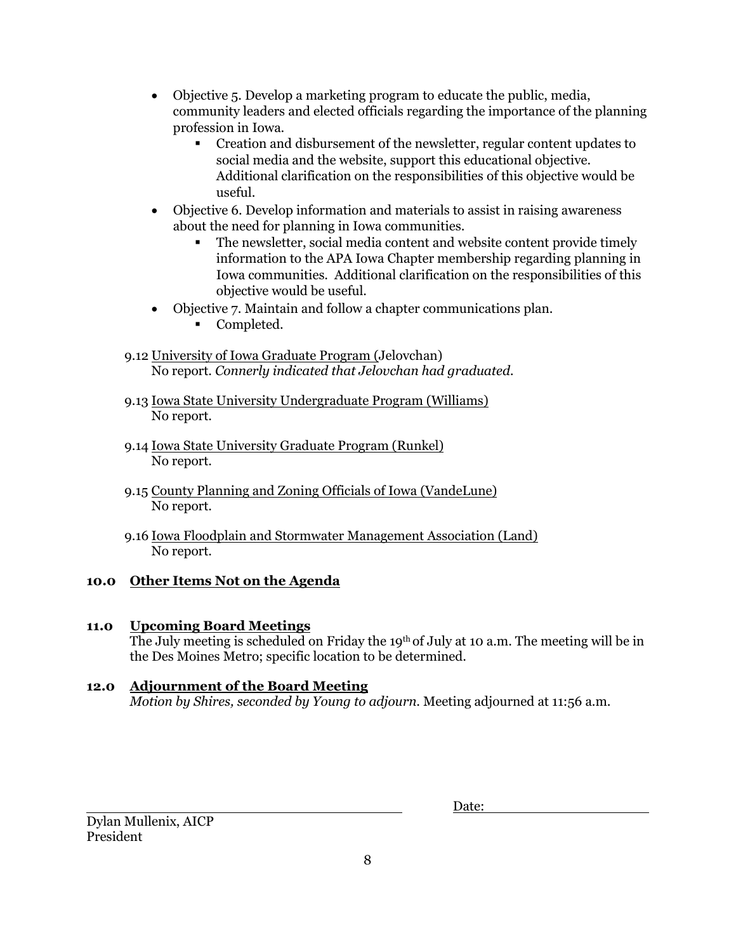- Objective 5. Develop a marketing program to educate the public, media, community leaders and elected officials regarding the importance of the planning profession in Iowa.
	- Creation and disbursement of the newsletter, regular content updates to social media and the website, support this educational objective. Additional clarification on the responsibilities of this objective would be useful.
- Objective 6. Develop information and materials to assist in raising awareness about the need for planning in Iowa communities.
	- The newsletter, social media content and website content provide timely information to the APA Iowa Chapter membership regarding planning in Iowa communities. Additional clarification on the responsibilities of this objective would be useful.
- Objective 7. Maintain and follow a chapter communications plan.
	- **Completed.**
- 9.12 University of Iowa Graduate Program (Jelovchan) No report. *Connerly indicated that Jelovchan had graduated.*
- 9.13 Iowa State University Undergraduate Program (Williams) No report.
- 9.14 Iowa State University Graduate Program (Runkel) No report.
- 9.15 County Planning and Zoning Officials of Iowa (VandeLune) No report.
- 9.16 Iowa Floodplain and Stormwater Management Association (Land) No report.

# **10.0 Other Items Not on the Agenda**

# **11.0 Upcoming Board Meetings**

The July meeting is scheduled on Friday the 19<sup>th</sup> of July at 10 a.m. The meeting will be in the Des Moines Metro; specific location to be determined.

# **12.0 Adjournment of the Board Meeting**

*Motion by Shires, seconded by Young to adjourn*. Meeting adjourned at 11:56 a.m.

| Date: |  |  |
|-------|--|--|
|       |  |  |

Dylan Mullenix, AICP President